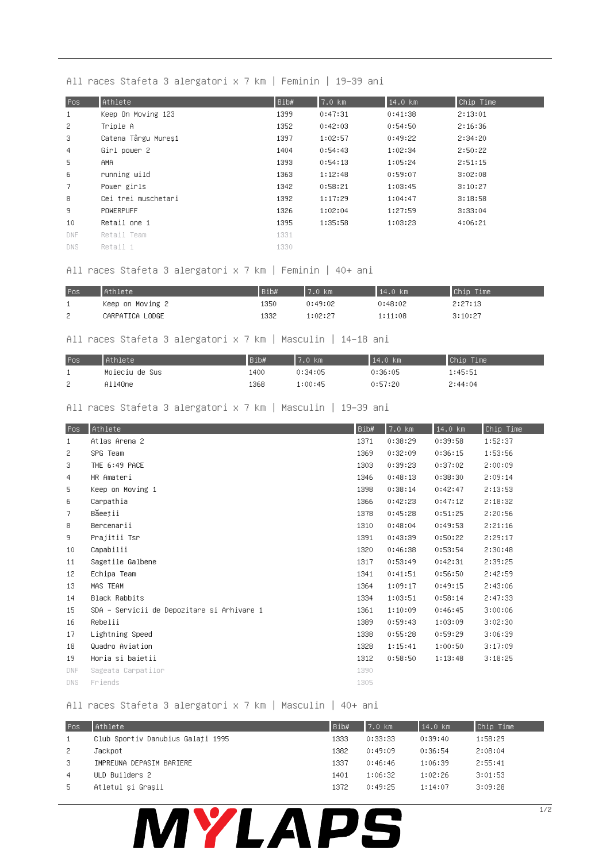### All races Stafeta 3 alergatori x 7 km | Feminin | 19-39 ani

| Pos             | Athlete             | Bib# | $7.0$ $km$ | 14.0 km | Chip Time |
|-----------------|---------------------|------|------------|---------|-----------|
| $\mathbf{1}$    | Keep On Moving 123  | 1399 | 0:47:31    | 0:41:38 | 2:13:01   |
| 2               | Triple A            | 1352 | 0:42:03    | 0:54:50 | 2:16:36   |
| 3               | Catena Târgu Mureși | 1397 | 1:02:57    | 0:49:22 | 2:34:20   |
| 4               | Girl power 2        | 1404 | 0:54:43    | 1:02:34 | 2:50:22   |
| 5.              | AMA.                | 1393 | 0:54:13    | 1:05:24 | 2:51:15   |
| 6               | running wild        | 1363 | 1:12:48    | 0:59:07 | 3:02:08   |
| 7.              | Power girls         | 1342 | 0:58:21    | 1:03:45 | 3:10:27   |
| 8               | Cei trei muschetari | 1392 | 1:17:29    | 1:04:47 | 3:18:58   |
| 9.              | POWERPUFF           | 1326 | 1:02:04    | 1:27:59 | 3:33:04   |
| 10 <sub>1</sub> | Retail one 1        | 1395 | 1:35:58    | 1:03:23 | 4:06:21   |
| DNF.            | Retail Team         | 1331 |            |         |           |
| DNS.            | Retail 1            | 1330 |            |         |           |

### All races Stafeta 3 alergatori x 7 km | Feminin | 40+ ani

| Pos | Athlete          | Bib# | 7.0 km  | 14.0 km | Chip Time |
|-----|------------------|------|---------|---------|-----------|
|     | Keep on Moving 2 | 1350 | 0:49:02 | 0:48:02 | 2:27:13   |
| -2. | CARPATICA LODGE  | 1332 | 1:02:27 | 1:11:08 | 3:10:27   |

#### All races Stafeta 3 alergatori x 7 km | Masculin | 14-18 ani

| Pos | Athlete        | Bib# | 7.0~km  | $14.0$ km | Chip Time |
|-----|----------------|------|---------|-----------|-----------|
|     | Moieciu de Sus | 1400 | 0:34:05 | 0:36:05   | 1:45:51   |
| 2   | All4One        | 1368 | 1:00:45 | 0:57:20   | 2:44:04   |

## All races Stafeta 3 alergatori x 7 km | Masculin | 19-39 ani

| Pos          | Athlete                                    | Bib# | $7.0$ km | 14.0 km | Chip Time |
|--------------|--------------------------------------------|------|----------|---------|-----------|
| $\mathbf{1}$ | Atlas Arena 2                              | 1371 | 0:38:29  | 0:39:58 | 1:52:37   |
| 2            | SPG Team                                   | 1369 | 0:32:09  | 0:36:15 | 1:53:56   |
| 3            | THE 6:49 PACE                              | 1303 | 0:39:23  | 0:37:02 | 2:00:09   |
| 4            | HR Amateri                                 | 1346 | 0:48:13  | 0:38:30 | 2:09:14   |
| 5            | Keep on Moving 1                           | 1398 | 0:38:14  | 0:42:47 | 2:13:53   |
| 6            | Carpathia                                  | 1366 | 0:42:23  | 0:47:12 | 2:18:32   |
| 7            | Băeeții                                    | 1378 | 0:45:28  | 0:51:25 | 2:20:56   |
| 8            | Bercenarii                                 | 1310 | 0:48:04  | 0:49:53 | 2:21:16   |
| 9.           | Prajitii Tsr                               | 1391 | 0:43:39  | 0:50:22 | 2:29:17   |
| 10           | Capabilii                                  | 1320 | 0:46:38  | 0:53:54 | 2:30:48   |
| 11           | Sagetile Galbene                           | 1317 | 0:53:49  | 0:42:31 | 2:39:25   |
| 12           | Echipa Team                                | 1341 | 0:41:51  | 0:56:50 | 2:42:59   |
| 13           | MAS TEAM                                   | 1364 | 1:09:17  | 0:49:15 | 2:43:06   |
| 14           | <b>Black Rabbits</b>                       | 1334 | 1:03:51  | 0:58:14 | 2:47:33   |
| 15           | SDA – Servicii de Depozitare si Arhivare 1 | 1361 | 1:10:09  | 0:46:45 | 3:00:06   |
| 16           | Rebelii                                    | 1389 | 0:59:43  | 1:03:09 | 3:02:30   |
| 17           | Lightning Speed                            | 1338 | 0:55:28  | 0:59:29 | 3:06:39   |
| 18           | Quadro Aviation                            | 1328 | 1:15:41  | 1:00:50 | 3:17:09   |
| 19           | Horia si baietii                           | 1312 | 0:58:50  | 1:13:48 | 3:18:25   |
| <b>DNF</b>   | Sageata Carpatilor                         | 1390 |          |         |           |
| DNS.         | Friends                                    | 1305 |          |         |           |

### All races Stafeta 3 alergatori x 7 km | Masculin | 40+ ani

| Pos            | Athlete                           | Bib# | $17.0$ km. | $14.0$ km | Chip Time |
|----------------|-----------------------------------|------|------------|-----------|-----------|
|                | Club Sportiv Danubius Galati 1995 | 1333 | 0:33:33    | 0:39:40   | 1:58:29   |
| -2.            | Jackpot                           | 1382 | 0:49:09    | 0:36:54   | 2:08:04   |
| -3-            | IMPREUNA DEPASIM BARIERE          | 1337 | 0:46:46    | 1:06:39   | 2:55:41   |
| $\overline{4}$ | ULD Builders 2                    | 1401 | 1:06:32    | 1:02:26   | 3:01:53   |
| -5             | Atletul și Grașii                 | 1372 | 0:49:25    | 1:14:07   | 3:09:28   |